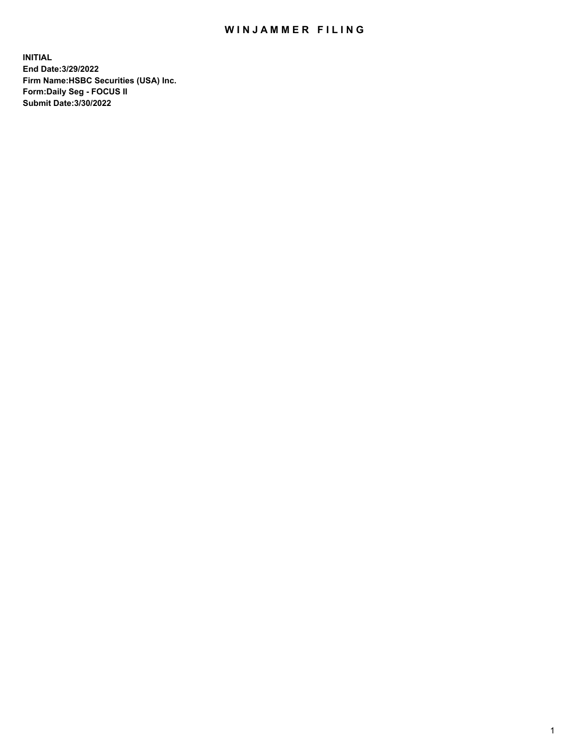## WIN JAMMER FILING

**INITIAL End Date:3/29/2022 Firm Name:HSBC Securities (USA) Inc. Form:Daily Seg - FOCUS II Submit Date:3/30/2022**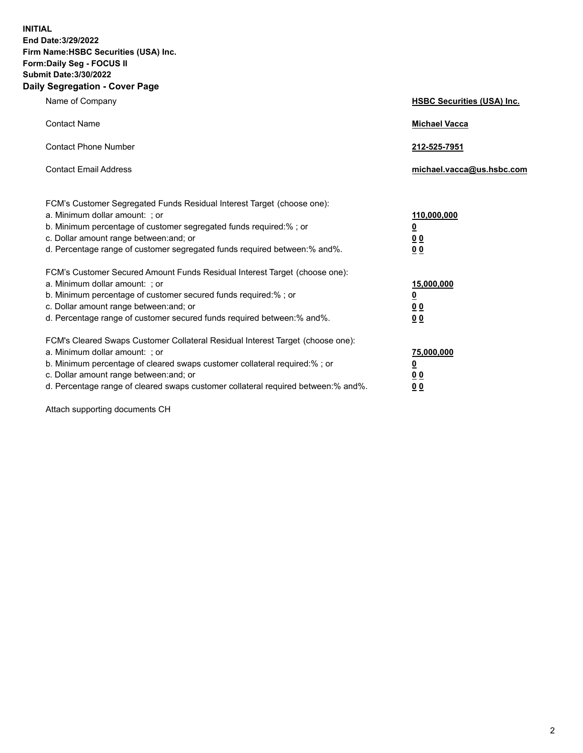**INITIAL End Date:3/29/2022 Firm Name:HSBC Securities (USA) Inc. Form:Daily Seg - FOCUS II Submit Date:3/30/2022 Daily Segregation - Cover Page**

| Name of Company                                                                                                                                                                                                                                                                                                                | <b>HSBC Securities (USA) Inc.</b>                          |
|--------------------------------------------------------------------------------------------------------------------------------------------------------------------------------------------------------------------------------------------------------------------------------------------------------------------------------|------------------------------------------------------------|
| <b>Contact Name</b>                                                                                                                                                                                                                                                                                                            | <b>Michael Vacca</b>                                       |
| <b>Contact Phone Number</b>                                                                                                                                                                                                                                                                                                    | 212-525-7951                                               |
| <b>Contact Email Address</b>                                                                                                                                                                                                                                                                                                   | michael.vacca@us.hsbc.com                                  |
| FCM's Customer Segregated Funds Residual Interest Target (choose one):<br>a. Minimum dollar amount: ; or<br>b. Minimum percentage of customer segregated funds required:%; or<br>c. Dollar amount range between: and; or<br>d. Percentage range of customer segregated funds required between: % and %.                        | 110,000,000<br><u>0</u><br>00<br>0 <sub>0</sub>            |
| FCM's Customer Secured Amount Funds Residual Interest Target (choose one):<br>a. Minimum dollar amount: ; or<br>b. Minimum percentage of customer secured funds required:% ; or<br>c. Dollar amount range between: and; or<br>d. Percentage range of customer secured funds required between:% and%.                           | 15,000,000<br><u>0</u><br>0 <sub>0</sub><br>0 <sub>0</sub> |
| FCM's Cleared Swaps Customer Collateral Residual Interest Target (choose one):<br>a. Minimum dollar amount: ; or<br>b. Minimum percentage of cleared swaps customer collateral required:% ; or<br>c. Dollar amount range between: and; or<br>d. Percentage range of cleared swaps customer collateral required between:% and%. | 75,000,000<br><u>0</u><br>00<br>00                         |

Attach supporting documents CH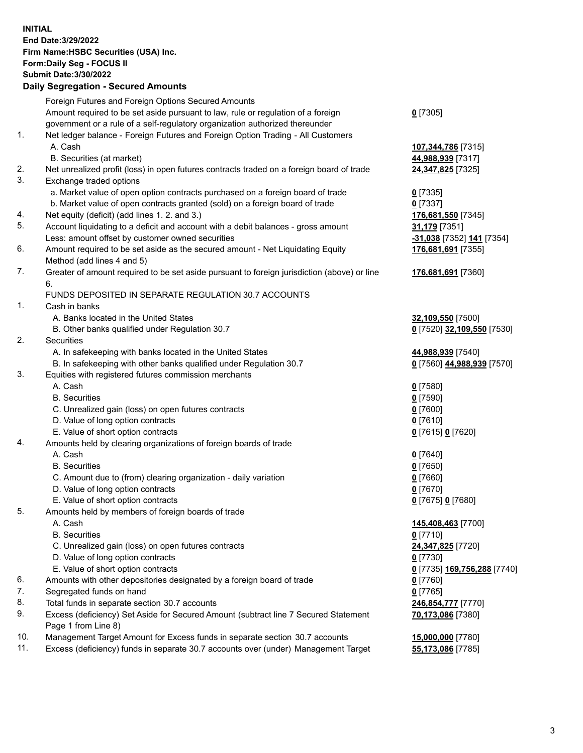**INITIAL End Date:3/29/2022 Firm Name:HSBC Securities (USA) Inc. Form:Daily Seg - FOCUS II Submit Date:3/30/2022 Daily Segregation - Secured Amounts** Foreign Futures and Foreign Options Secured Amounts Amount required to be set aside pursuant to law, rule or regulation of a foreign government or a rule of a self-regulatory organization authorized thereunder **0** [7305] 1. Net ledger balance - Foreign Futures and Foreign Option Trading - All Customers A. Cash **107,344,786** [7315] B. Securities (at market) **44,988,939** [7317] 2. Net unrealized profit (loss) in open futures contracts traded on a foreign board of trade **24,347,825** [7325] 3. Exchange traded options a. Market value of open option contracts purchased on a foreign board of trade **0** [7335] b. Market value of open contracts granted (sold) on a foreign board of trade **0** [7337] 4. Net equity (deficit) (add lines 1. 2. and 3.) **176,681,550** [7345] 5. Account liquidating to a deficit and account with a debit balances - gross amount **31,179** [7351] Less: amount offset by customer owned securities **-31,038** [7352] **141** [7354] 6. Amount required to be set aside as the secured amount - Net Liquidating Equity Method (add lines 4 and 5) **176,681,691** [7355] 7. Greater of amount required to be set aside pursuant to foreign jurisdiction (above) or line 6. **176,681,691** [7360] FUNDS DEPOSITED IN SEPARATE REGULATION 30.7 ACCOUNTS 1. Cash in banks A. Banks located in the United States **32,109,550** [7500] B. Other banks qualified under Regulation 30.7 **0** [7520] **32,109,550** [7530] 2. Securities A. In safekeeping with banks located in the United States **44,988,939** [7540] B. In safekeeping with other banks qualified under Regulation 30.7 **0** [7560] **44,988,939** [7570] 3. Equities with registered futures commission merchants A. Cash **0** [7580] B. Securities **0** [7590] C. Unrealized gain (loss) on open futures contracts **0** [7600] D. Value of long option contracts **0** [7610] E. Value of short option contracts **0** [7615] **0** [7620] 4. Amounts held by clearing organizations of foreign boards of trade A. Cash **0** [7640] B. Securities **0** [7650] C. Amount due to (from) clearing organization - daily variation **0** [7660] D. Value of long option contracts **0** [7670] E. Value of short option contracts **0** [7675] **0** [7680] 5. Amounts held by members of foreign boards of trade A. Cash **145,408,463** [7700] B. Securities **0** [7710] C. Unrealized gain (loss) on open futures contracts **24,347,825** [7720] D. Value of long option contracts **0** [7730] E. Value of short option contracts **0** [7735] **169,756,288** [7740] 6. Amounts with other depositories designated by a foreign board of trade **0** [7760] 7. Segregated funds on hand **0** [7765] 8. Total funds in separate section 30.7 accounts **246,854,777** [7770] 9. Excess (deficiency) Set Aside for Secured Amount (subtract line 7 Secured Statement Page 1 from Line 8) **70,173,086** [7380] 10. Management Target Amount for Excess funds in separate section 30.7 accounts **15,000,000** [7780]

11. Excess (deficiency) funds in separate 30.7 accounts over (under) Management Target **55,173,086** [7785]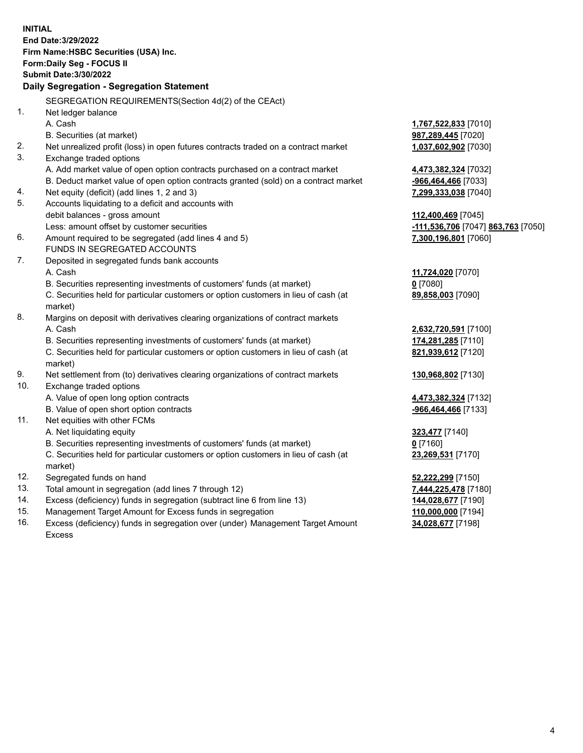**INITIAL End Date:3/29/2022 Firm Name:HSBC Securities (USA) Inc. Form:Daily Seg - FOCUS II Submit Date:3/30/2022 Daily Segregation - Segregation Statement** SEGREGATION REQUIREMENTS(Section 4d(2) of the CEAct) 1. Net ledger balance A. Cash **1,767,522,833** [7010] B. Securities (at market) **987,289,445** [7020] 2. Net unrealized profit (loss) in open futures contracts traded on a contract market **1,037,602,902** [7030] 3. Exchange traded options A. Add market value of open option contracts purchased on a contract market **4,473,382,324** [7032] B. Deduct market value of open option contracts granted (sold) on a contract market **-966,464,466** [7033] 4. Net equity (deficit) (add lines 1, 2 and 3) **7,299,333,038** [7040] 5. Accounts liquidating to a deficit and accounts with debit balances - gross amount **112,400,469** [7045] Less: amount offset by customer securities **-111,536,706** [7047] **863,763** [7050] 6. Amount required to be segregated (add lines 4 and 5) **7,300,196,801** [7060] FUNDS IN SEGREGATED ACCOUNTS 7. Deposited in segregated funds bank accounts A. Cash **11,724,020** [7070] B. Securities representing investments of customers' funds (at market) **0** [7080] C. Securities held for particular customers or option customers in lieu of cash (at market) **89,858,003** [7090] 8. Margins on deposit with derivatives clearing organizations of contract markets A. Cash **2,632,720,591** [7100] B. Securities representing investments of customers' funds (at market) **174,281,285** [7110] C. Securities held for particular customers or option customers in lieu of cash (at market) **821,939,612** [7120] 9. Net settlement from (to) derivatives clearing organizations of contract markets **130,968,802** [7130] 10. Exchange traded options A. Value of open long option contracts **4,473,382,324** [7132] B. Value of open short option contracts **-966,464,466** [7133] 11. Net equities with other FCMs A. Net liquidating equity **323,477** [7140] B. Securities representing investments of customers' funds (at market) **0** [7160] C. Securities held for particular customers or option customers in lieu of cash (at market) **23,269,531** [7170] 12. Segregated funds on hand **52,222,299** [7150] 13. Total amount in segregation (add lines 7 through 12) **7,444,225,478** [7180] 14. Excess (deficiency) funds in segregation (subtract line 6 from line 13) **144,028,677** [7190] 15. Management Target Amount for Excess funds in segregation **110,000,000** [7194] **34,028,677** [7198]

16. Excess (deficiency) funds in segregation over (under) Management Target Amount Excess